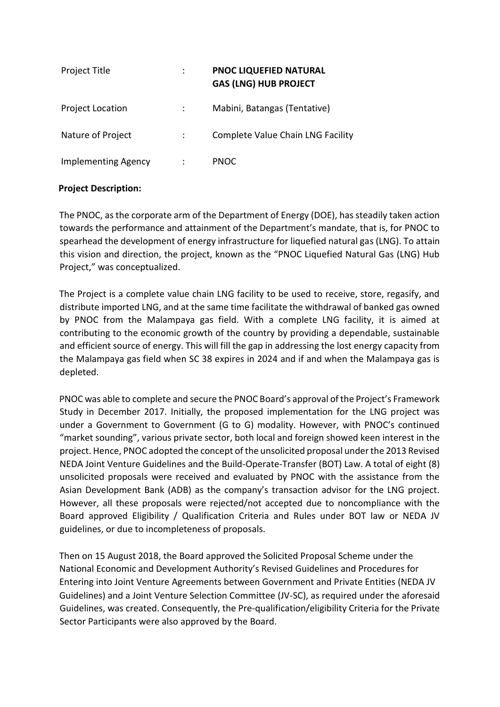| <b>Project Title</b>       | ٠<br>$\ddot{\phantom{a}}$ | <b>PNOC LIQUEFIED NATURAL</b><br><b>GAS (LNG) HUB PROJECT</b> |
|----------------------------|---------------------------|---------------------------------------------------------------|
| <b>Project Location</b>    |                           | Mabini, Batangas (Tentative)                                  |
| Nature of Project          |                           | <b>Complete Value Chain LNG Facility</b>                      |
| <b>Implementing Agency</b> |                           | <b>PNOC</b>                                                   |

# **Project Description:**

The PNOC, as the corporate arm of the Department of Energy (DOE), has steadily taken action towards the performance and attainment of the Department's mandate, that is, for PNOC to spearhead the development of energy infrastructure for liquefied natural gas (LNG). To attain this vision and direction, the project, known as the "PNOC Liquefied Natural Gas (LNG) Hub Project," was conceptualized.

The Project is a complete value chain LNG facility to be used to receive, store, regasify, and distribute imported LNG, and at the same time facilitate the withdrawal of banked gas owned by PNOC from the Malampaya gas field. With a complete LNG facility, it is aimed at contributing to the economic growth of the country by providing a dependable, sustainable and efficient source of energy. This will fill the gap in addressing the lost energy capacity from the Malampaya gas field when SC 38 expires in 2024 and if and when the Malampaya gas is depleted.

PNOC was able to complete and secure the PNOC Board's approval of the Project's Framework Study in December 2017. Initially, the proposed implementation for the LNG project was under a Government to Government (G to G) modality. However, with PNOC's continued "market sounding", various private sector, both local and foreign showed keen interest in the project. Hence, PNOC adopted the concept of the unsolicited proposal under the 2013 Revised NEDA Joint Venture Guidelines and the Build-Operate-Transfer (BOT) Law. A total of eight (8) unsolicited proposals were received and evaluated by PNOC with the assistance from the Asian Development Bank (ADB) as the company's transaction advisor for the LNG project. However, all these proposals were rejected/not accepted due to noncompliance with the Board approved Eligibility / Qualification Criteria and Rules under BOT law or NEDA JV guidelines, or due to incompleteness of proposals.

Then on 15 August 2018, the Board approved the Solicited Proposal Scheme under the National Economic and Development Authority's Revised Guidelines and Procedures for Entering into Joint Venture Agreements between Government and Private Entities (NEDA JV Guidelines) and a Joint Venture Selection Committee (JV-SC), as required under the aforesaid Guidelines, was created. Consequently, the Pre-qualification/eligibility Criteria for the Private Sector Participants were also approved by the Board.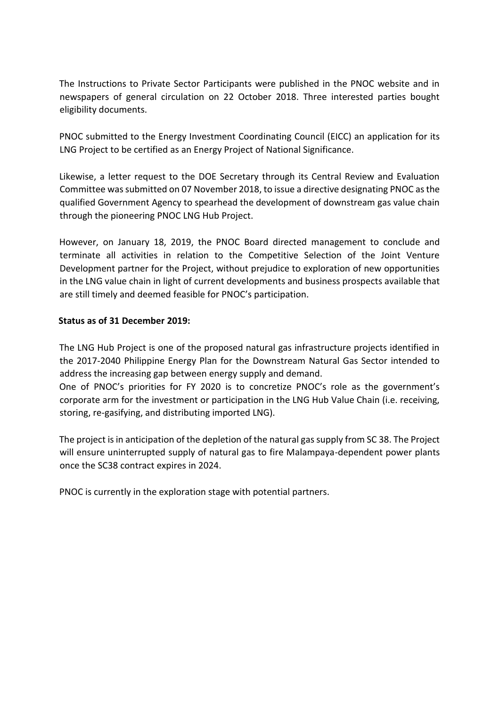The Instructions to Private Sector Participants were published in the PNOC website and in newspapers of general circulation on 22 October 2018. Three interested parties bought eligibility documents.

PNOC submitted to the Energy Investment Coordinating Council (EICC) an application for its LNG Project to be certified as an Energy Project of National Significance.

Likewise, a letter request to the DOE Secretary through its Central Review and Evaluation Committee was submitted on 07 November 2018, to issue a directive designating PNOC as the qualified Government Agency to spearhead the development of downstream gas value chain through the pioneering PNOC LNG Hub Project.

However, on January 18, 2019, the PNOC Board directed management to conclude and terminate all activities in relation to the Competitive Selection of the Joint Venture Development partner for the Project, without prejudice to exploration of new opportunities in the LNG value chain in light of current developments and business prospects available that are still timely and deemed feasible for PNOC's participation.

# **Status as of 31 December 2019:**

The LNG Hub Project is one of the proposed natural gas infrastructure projects identified in the 2017-2040 Philippine Energy Plan for the Downstream Natural Gas Sector intended to address the increasing gap between energy supply and demand.

One of PNOC's priorities for FY 2020 is to concretize PNOC's role as the government's corporate arm for the investment or participation in the LNG Hub Value Chain (i.e. receiving, storing, re-gasifying, and distributing imported LNG).

The project is in anticipation of the depletion of the natural gas supply from SC 38. The Project will ensure uninterrupted supply of natural gas to fire Malampaya-dependent power plants once the SC38 contract expires in 2024.

PNOC is currently in the exploration stage with potential partners.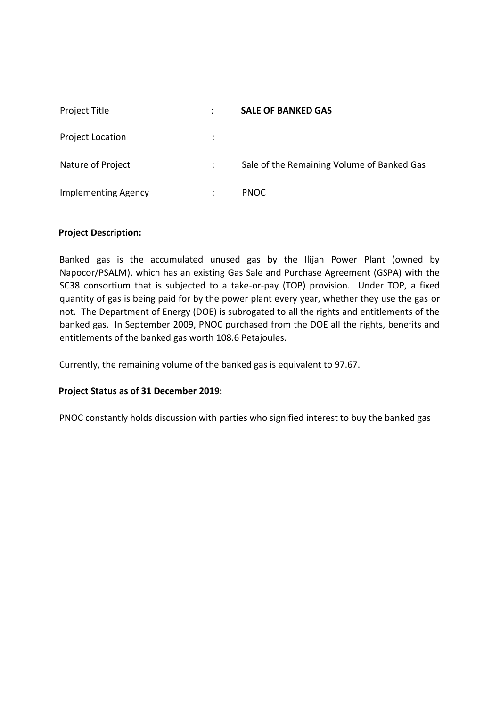| Project Title              | ÷                    | <b>SALE OF BANKED GAS</b>                  |
|----------------------------|----------------------|--------------------------------------------|
| <b>Project Location</b>    | ÷                    |                                            |
| Nature of Project          | $\ddot{\phantom{0}}$ | Sale of the Remaining Volume of Banked Gas |
| <b>Implementing Agency</b> | ٠                    | <b>PNOC</b>                                |

# **Project Description:**

Banked gas is the accumulated unused gas by the Ilijan Power Plant (owned by Napocor/PSALM), which has an existing Gas Sale and Purchase Agreement (GSPA) with the SC38 consortium that is subjected to a take-or-pay (TOP) provision. Under TOP, a fixed quantity of gas is being paid for by the power plant every year, whether they use the gas or not. The Department of Energy (DOE) is subrogated to all the rights and entitlements of the banked gas. In September 2009, PNOC purchased from the DOE all the rights, benefits and entitlements of the banked gas worth 108.6 Petajoules.

Currently, the remaining volume of the banked gas is equivalent to 97.67.

# **Project Status as of 31 December 2019:**

PNOC constantly holds discussion with parties who signified interest to buy the banked gas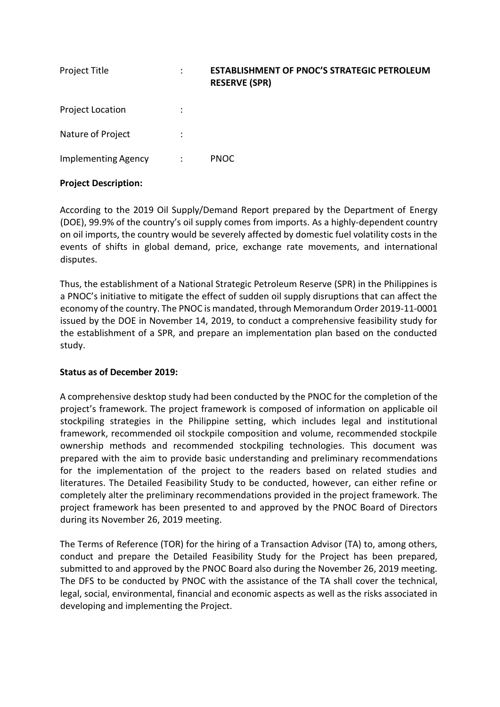| Project Title              | ٠<br>$\ddot{\phantom{0}}$ | <b>ESTABLISHMENT OF PNOC'S STRATEGIC PETROLEUM</b><br><b>RESERVE (SPR)</b> |
|----------------------------|---------------------------|----------------------------------------------------------------------------|
| <b>Project Location</b>    | $\ddot{\cdot}$            |                                                                            |
| Nature of Project          | $\ddot{\cdot}$            |                                                                            |
| <b>Implementing Agency</b> | ÷                         | <b>PNOC</b>                                                                |

# **Project Description:**

According to the 2019 Oil Supply/Demand Report prepared by the Department of Energy (DOE), 99.9% of the country's oil supply comes from imports. As a highly-dependent country on oil imports, the country would be severely affected by domestic fuel volatility costs in the events of shifts in global demand, price, exchange rate movements, and international disputes.

Thus, the establishment of a National Strategic Petroleum Reserve (SPR) in the Philippines is a PNOC's initiative to mitigate the effect of sudden oil supply disruptions that can affect the economy of the country. The PNOC is mandated, through Memorandum Order 2019-11-0001 issued by the DOE in November 14, 2019, to conduct a comprehensive feasibility study for the establishment of a SPR, and prepare an implementation plan based on the conducted study.

### **Status as of December 2019:**

A comprehensive desktop study had been conducted by the PNOC for the completion of the project's framework. The project framework is composed of information on applicable oil stockpiling strategies in the Philippine setting, which includes legal and institutional framework, recommended oil stockpile composition and volume, recommended stockpile ownership methods and recommended stockpiling technologies. This document was prepared with the aim to provide basic understanding and preliminary recommendations for the implementation of the project to the readers based on related studies and literatures. The Detailed Feasibility Study to be conducted, however, can either refine or completely alter the preliminary recommendations provided in the project framework. The project framework has been presented to and approved by the PNOC Board of Directors during its November 26, 2019 meeting.

The Terms of Reference (TOR) for the hiring of a Transaction Advisor (TA) to, among others, conduct and prepare the Detailed Feasibility Study for the Project has been prepared, submitted to and approved by the PNOC Board also during the November 26, 2019 meeting. The DFS to be conducted by PNOC with the assistance of the TA shall cover the technical, legal, social, environmental, financial and economic aspects as well as the risks associated in developing and implementing the Project.